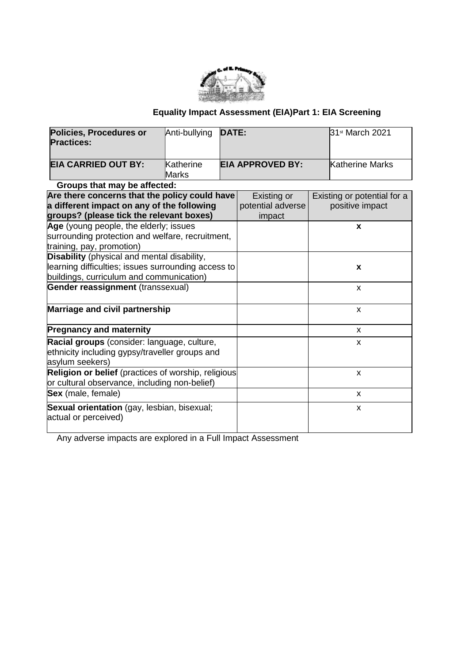

# **Equality Impact Assessment (EIA)Part 1: EIA Screening**

| <b>Policies, Procedures or</b>                      | Anti-bullying | <b>DATE:</b> |                         | 31st March 2021             |
|-----------------------------------------------------|---------------|--------------|-------------------------|-----------------------------|
| <b>Practices:</b>                                   |               |              |                         |                             |
| <b>EIA CARRIED OUT BY:</b>                          | Katherine     |              | <b>EIA APPROVED BY:</b> | Katherine Marks             |
|                                                     | Marks         |              |                         |                             |
| Groups that may be affected:                        |               |              |                         |                             |
| Are there concerns that the policy could have       |               |              | Existing or             | Existing or potential for a |
| a different impact on any of the following          |               |              | potential adverse       | positive impact             |
| groups? (please tick the relevant boxes)            |               | impact       |                         |                             |
| Age (young people, the elderly; issues              |               |              |                         | X                           |
| surrounding protection and welfare, recruitment,    |               |              |                         |                             |
| training, pay, promotion)                           |               |              |                         |                             |
| Disability (physical and mental disability,         |               |              |                         |                             |
| learning difficulties; issues surrounding access to |               |              | X                       |                             |
| buildings, curriculum and communication)            |               |              |                         |                             |
| <b>Gender reassignment (transsexual)</b>            |               |              |                         | X                           |
| Marriage and civil partnership                      |               |              |                         | X                           |
| <b>Pregnancy and maternity</b>                      |               |              |                         | X                           |
| Racial groups (consider: language, culture,         |               |              |                         | X                           |
| ethnicity including gypsy/traveller groups and      |               |              |                         |                             |
| asylum seekers)                                     |               |              |                         |                             |
| Religion or belief (practices of worship, religious |               |              |                         | X                           |
| or cultural observance, including non-belief)       |               |              |                         |                             |
| Sex (male, female)                                  |               |              |                         | X                           |
| Sexual orientation (gay, lesbian, bisexual;         |               |              |                         | X                           |
| actual or perceived)                                |               |              |                         |                             |
|                                                     |               |              |                         |                             |

Any adverse impacts are explored in a Full Impact Assessment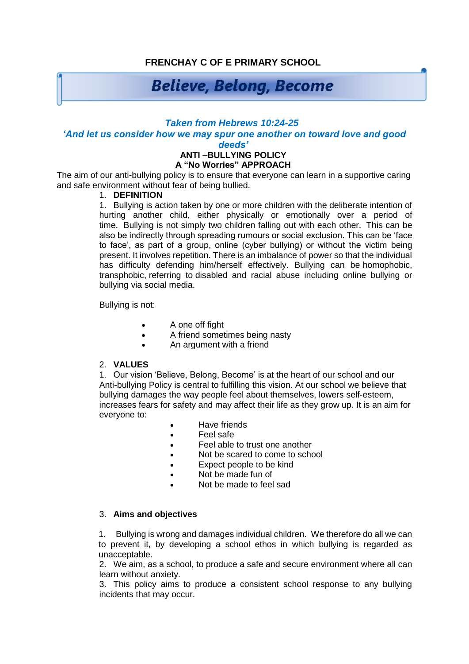## **FRENCHAY C OF E PRIMARY SCHOOL**

# **Believe, Belong, Become**

#### *Taken from Hebrews 10:24-25*

### *'And let us consider how we may spur one another on toward love and good*

*deeds'*

#### **ANTI –BULLYING POLICY A "No Worries" APPROACH**

The aim of our anti-bullying policy is to ensure that everyone can learn in a supportive caring and safe environment without fear of being bullied.

#### 1. **DEFINITION**

1. Bullying is action taken by one or more children with the deliberate intention of hurting another child, either physically or emotionally over a period of time. Bullying is not simply two children falling out with each other. This can be also be indirectly through spreading rumours or social exclusion. This can be 'face to face', as part of a group, online (cyber bullying) or without the victim being present. It involves repetition. There is an imbalance of power so that the individual has difficulty defending him/herself effectively. Bullying can be homophobic, transphobic, referring to disabled and racial abuse including online bullying or bullying via social media.

Bullying is not:

- A one off fight
- A friend sometimes being nasty
- An argument with a friend

#### 2. **VALUES**

1. Our vision 'Believe, Belong, Become' is at the heart of our school and our Anti-bullying Policy is central to fulfilling this vision. At our school we believe that bullying damages the way people feel about themselves, lowers self-esteem, increases fears for safety and may affect their life as they grow up. It is an aim for everyone to:

- Have friends
- Feel safe
- Feel able to trust one another
- Not be scared to come to school
- **Expect people to be kind**
- Not be made fun of
- Not be made to feel sad

#### 3. **Aims and objectives**

1. Bullying is wrong and damages individual children. We therefore do all we can to prevent it, by developing a school ethos in which bullying is regarded as unacceptable.

2. We aim, as a school, to produce a safe and secure environment where all can learn without anxiety.

3. This policy aims to produce a consistent school response to any bullying incidents that may occur.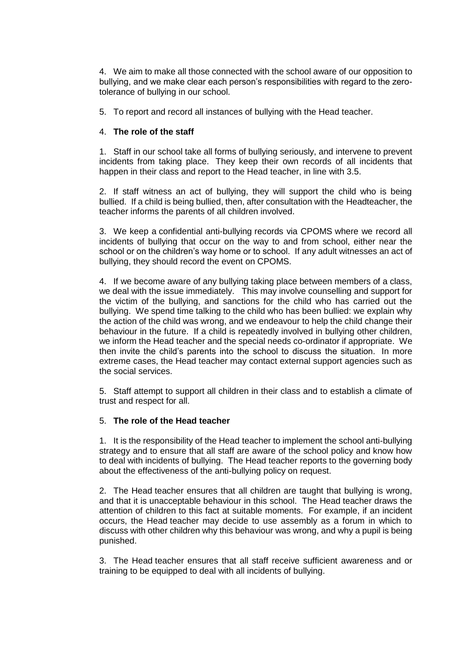4. We aim to make all those connected with the school aware of our opposition to bullying, and we make clear each person's responsibilities with regard to the zerotolerance of bullying in our school.

5. To report and record all instances of bullying with the Head teacher.

#### 4. **The role of the staff**

1. Staff in our school take all forms of bullying seriously, and intervene to prevent incidents from taking place. They keep their own records of all incidents that happen in their class and report to the Head teacher, in line with 3.5.

2. If staff witness an act of bullying, they will support the child who is being bullied. If a child is being bullied, then, after consultation with the Headteacher, the teacher informs the parents of all children involved.

3. We keep a confidential anti-bullying records via CPOMS where we record all incidents of bullying that occur on the way to and from school, either near the school or on the children's way home or to school. If any adult witnesses an act of bullying, they should record the event on CPOMS.

4. If we become aware of any bullying taking place between members of a class, we deal with the issue immediately. This may involve counselling and support for the victim of the bullying, and sanctions for the child who has carried out the bullying. We spend time talking to the child who has been bullied: we explain why the action of the child was wrong, and we endeavour to help the child change their behaviour in the future. If a child is repeatedly involved in bullying other children, we inform the Head teacher and the special needs co-ordinator if appropriate. We then invite the child's parents into the school to discuss the situation. In more extreme cases, the Head teacher may contact external support agencies such as the social services.

5. Staff attempt to support all children in their class and to establish a climate of trust and respect for all.

#### 5. **The role of the Head teacher**

1. It is the responsibility of the Head teacher to implement the school anti-bullying strategy and to ensure that all staff are aware of the school policy and know how to deal with incidents of bullying. The Head teacher reports to the governing body about the effectiveness of the anti-bullying policy on request.

2. The Head teacher ensures that all children are taught that bullying is wrong, and that it is unacceptable behaviour in this school. The Head teacher draws the attention of children to this fact at suitable moments. For example, if an incident occurs, the Head teacher may decide to use assembly as a forum in which to discuss with other children why this behaviour was wrong, and why a pupil is being punished.

3. The Head teacher ensures that all staff receive sufficient awareness and or training to be equipped to deal with all incidents of bullying.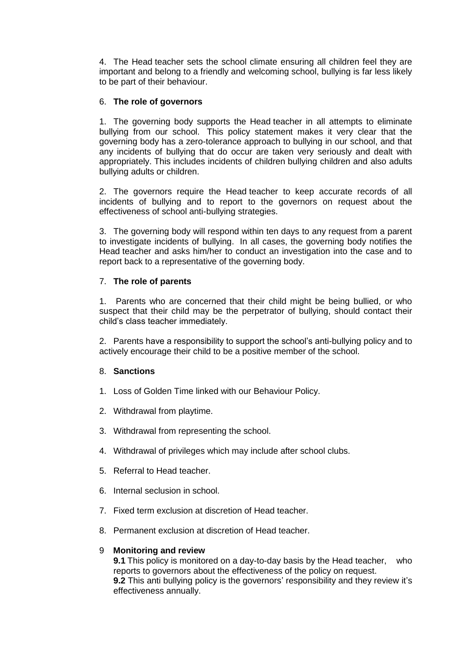4. The Head teacher sets the school climate ensuring all children feel they are important and belong to a friendly and welcoming school, bullying is far less likely to be part of their behaviour.

#### 6. **The role of governors**

1. The governing body supports the Head teacher in all attempts to eliminate bullying from our school. This policy statement makes it very clear that the governing body has a zero-tolerance approach to bullying in our school, and that any incidents of bullying that do occur are taken very seriously and dealt with appropriately. This includes incidents of children bullying children and also adults bullying adults or children.

2. The governors require the Head teacher to keep accurate records of all incidents of bullying and to report to the governors on request about the effectiveness of school anti-bullying strategies.

3. The governing body will respond within ten days to any request from a parent to investigate incidents of bullying. In all cases, the governing body notifies the Head teacher and asks him/her to conduct an investigation into the case and to report back to a representative of the governing body.

#### 7. **The role of parents**

1. Parents who are concerned that their child might be being bullied, or who suspect that their child may be the perpetrator of bullying, should contact their child's class teacher immediately.

2. Parents have a responsibility to support the school's anti-bullying policy and to actively encourage their child to be a positive member of the school.

#### 8. **Sanctions**

- 1. Loss of Golden Time linked with our Behaviour Policy.
- 2. Withdrawal from playtime.
- 3. Withdrawal from representing the school.
- 4. Withdrawal of privileges which may include after school clubs.
- 5. Referral to Head teacher.
- 6. Internal seclusion in school.
- 7. Fixed term exclusion at discretion of Head teacher.
- 8. Permanent exclusion at discretion of Head teacher.

#### 9 **Monitoring and review**

**9.1** This policy is monitored on a day-to-day basis by the Head teacher, who reports to governors about the effectiveness of the policy on request. **9.2** This anti bullying policy is the governors' responsibility and they review it's effectiveness annually.